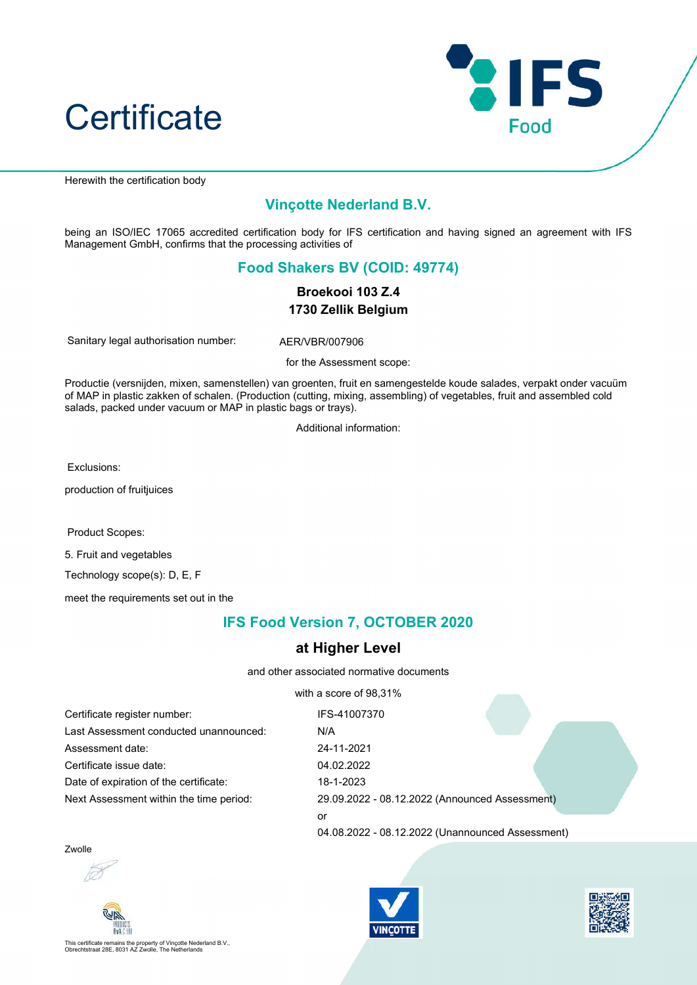



Herewith the certification body

## Vinçotte Nederland B.V.

being an ISO/IEC 17065 accredited certification body for IFS certification and having signed an agreement with IFS Management GmbH, confirms that the processing activities of

## Food Shakers BV (COID: 49774)

Broekooi 103 Z.4 1730 Zellik Belgium

Sanitary legal authorisation number: AER/VBR/007906

for the Assessment scope:

Productie (versnijden, mixen, samenstellen) van groenten, fruit en samengestelde koude salades, verpakt onder vacuüm of MAP in plastic zakken of schalen. (Production (cutting, mixing, assembling) of vegetables, fruit and assembled cold salads, packed under vacuum or MAP in plastic bags or trays).

Additional information:

Exclusions:

production of fruitjuices

Product Scopes:

5. Fruit and vegetables

Technology scope(s): D, E, F

meet the requirements set out in the

## IFS Food Version 7, OCTOBER 2020

## at Higher Level

and other associated normative documents

with a score of 98,31%

| Certificate register number:            | IFS-41007370                                     |
|-----------------------------------------|--------------------------------------------------|
| Last Assessment conducted unannounced:  | N/A                                              |
| Assessment date:                        | 24-11-2021                                       |
| Certificate issue date:                 | 04.02.2022                                       |
| Date of expiration of the certificate:  | 18-1-2023                                        |
| Next Assessment within the time period: | 29.09.2022 - 08.12.2022 (Announced Assessment)   |
|                                         | or                                               |
|                                         | 04.08.2022 - 08.12.2022 (Unannounced Assessment) |

Zwolle